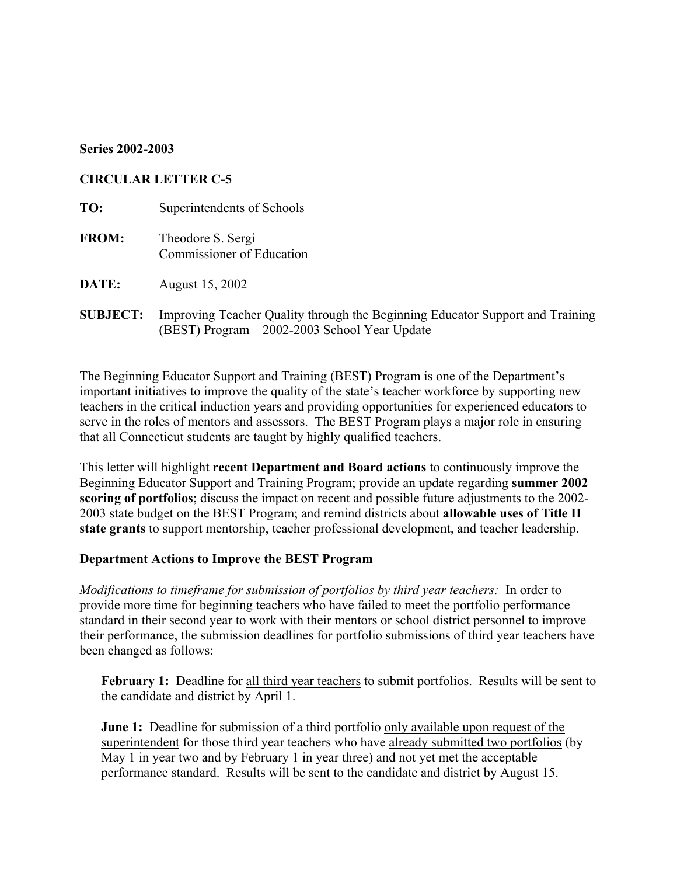## **Series 2002-2003**

## **CIRCULAR LETTER C-5**

**TO:** Superintendents of Schools **FROM:** Theodore S. Sergi Commissioner of Education

**DATE:** August 15, 2002

**SUBJECT:** Improving Teacher Quality through the Beginning Educator Support and Training (BEST) Program—2002-2003 School Year Update

The Beginning Educator Support and Training (BEST) Program is one of the Department's important initiatives to improve the quality of the state's teacher workforce by supporting new teachers in the critical induction years and providing opportunities for experienced educators to serve in the roles of mentors and assessors. The BEST Program plays a major role in ensuring that all Connecticut students are taught by highly qualified teachers.

This letter will highlight **recent Department and Board actions** to continuously improve the Beginning Educator Support and Training Program; provide an update regarding **summer 2002 scoring of portfolios**; discuss the impact on recent and possible future adjustments to the 2002- 2003 state budget on the BEST Program; and remind districts about **allowable uses of Title II state grants** to support mentorship, teacher professional development, and teacher leadership.

#### **Department Actions to Improve the BEST Program**

*Modifications to timeframe for submission of portfolios by third year teachers:* In order to provide more time for beginning teachers who have failed to meet the portfolio performance standard in their second year to work with their mentors or school district personnel to improve their performance, the submission deadlines for portfolio submissions of third year teachers have been changed as follows:

February 1: Deadline for all third year teachers to submit portfolios. Results will be sent to the candidate and district by April 1.

**June 1:** Deadline for submission of a third portfolio only available upon request of the superintendent for those third year teachers who have already submitted two portfolios (by May 1 in year two and by February 1 in year three) and not yet met the acceptable performance standard. Results will be sent to the candidate and district by August 15.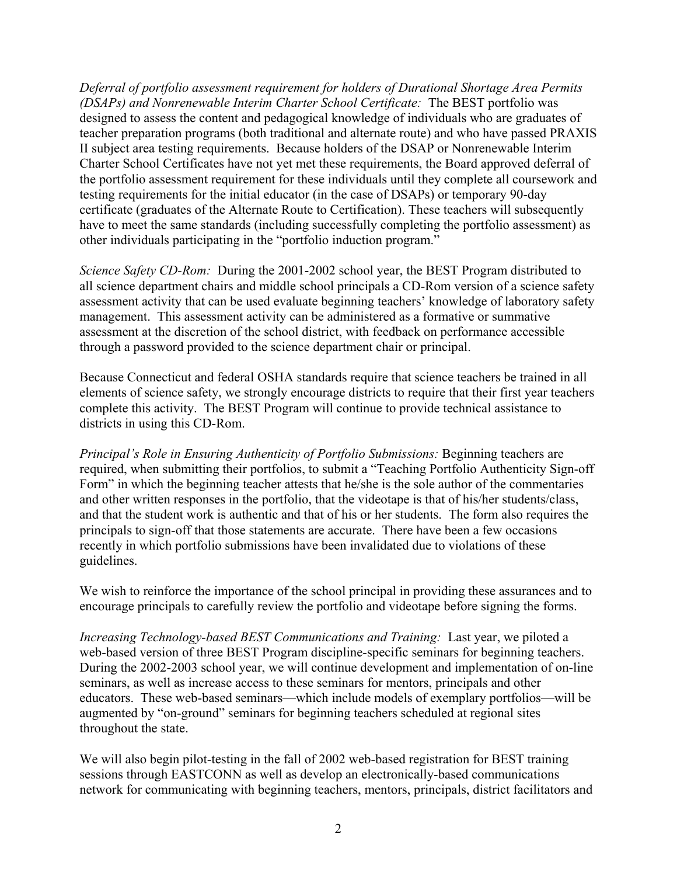*Deferral of portfolio assessment requirement for holders of Durational Shortage Area Permits (DSAPs) and Nonrenewable Interim Charter School Certificate:* The BEST portfolio was designed to assess the content and pedagogical knowledge of individuals who are graduates of teacher preparation programs (both traditional and alternate route) and who have passed PRAXIS II subject area testing requirements. Because holders of the DSAP or Nonrenewable Interim Charter School Certificates have not yet met these requirements, the Board approved deferral of the portfolio assessment requirement for these individuals until they complete all coursework and testing requirements for the initial educator (in the case of DSAPs) or temporary 90-day certificate (graduates of the Alternate Route to Certification). These teachers will subsequently have to meet the same standards (including successfully completing the portfolio assessment) as other individuals participating in the "portfolio induction program."

*Science Safety CD-Rom:* During the 2001-2002 school year, the BEST Program distributed to all science department chairs and middle school principals a CD-Rom version of a science safety assessment activity that can be used evaluate beginning teachers' knowledge of laboratory safety management. This assessment activity can be administered as a formative or summative assessment at the discretion of the school district, with feedback on performance accessible through a password provided to the science department chair or principal.

Because Connecticut and federal OSHA standards require that science teachers be trained in all elements of science safety, we strongly encourage districts to require that their first year teachers complete this activity. The BEST Program will continue to provide technical assistance to districts in using this CD-Rom.

*Principal's Role in Ensuring Authenticity of Portfolio Submissions:* Beginning teachers are required, when submitting their portfolios, to submit a "Teaching Portfolio Authenticity Sign-off Form" in which the beginning teacher attests that he/she is the sole author of the commentaries and other written responses in the portfolio, that the videotape is that of his/her students/class, and that the student work is authentic and that of his or her students. The form also requires the principals to sign-off that those statements are accurate. There have been a few occasions recently in which portfolio submissions have been invalidated due to violations of these guidelines.

We wish to reinforce the importance of the school principal in providing these assurances and to encourage principals to carefully review the portfolio and videotape before signing the forms.

*Increasing Technology-based BEST Communications and Training:* Last year, we piloted a web-based version of three BEST Program discipline-specific seminars for beginning teachers. During the 2002-2003 school year, we will continue development and implementation of on-line seminars, as well as increase access to these seminars for mentors, principals and other educators. These web-based seminars—which include models of exemplary portfolios—will be augmented by "on-ground" seminars for beginning teachers scheduled at regional sites throughout the state.

We will also begin pilot-testing in the fall of 2002 web-based registration for BEST training sessions through EASTCONN as well as develop an electronically-based communications network for communicating with beginning teachers, mentors, principals, district facilitators and